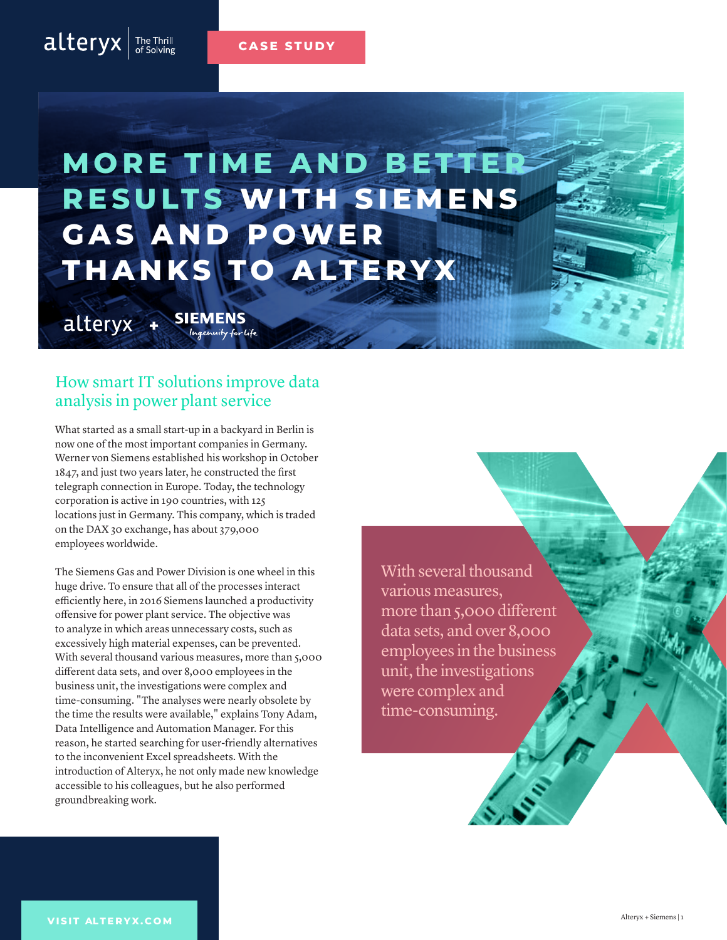#### **CASE STUDY**

# **MORE TIME AND BETTER RESULTS WITH SIEMENS G A S A N D P OWE R THANKS TO ALTERYX**

**SIEMENS** alteryx **+**Ingenuity for life

 $alteryx$   $\frac{The Third  
of Solving}$ 

#### How smart IT solutions improve data analysis in power plant service

What started as a small start-up in a backyard in Berlin is now one of the most important companies in Germany. Werner von Siemens established his workshop in October 1847, and just two years later, he constructed the first telegraph connection in Europe. Today, the technology corporation is active in 190 countries, with 125 locations just in Germany. This company, which is traded on the DAX 30 exchange, has about 379,000 employees worldwide.

The Siemens Gas and Power Division is one wheel in this huge drive. To ensure that all of the processes interact efficiently here, in 2016 Siemens launched a productivity offensive for power plant service. The objective was to analyze in which areas unnecessary costs, such as excessively high material expenses, can be prevented. With several thousand various measures, more than 5,000 different data sets, and over 8,000 employees in the business unit, the investigations were complex and time-consuming. "The analyses were nearly obsolete by the time the results were available," explains Tony Adam, Data Intelligence and Automation Manager. For this reason, he started searching for user-friendly alternatives to the inconvenient Excel spreadsheets. With the introduction of Alteryx, he not only made new knowledge accessible to his colleagues, but he also performed groundbreaking work.

With several thousand various measures, more than 5,000 different data sets, and over 8,000 employees in the business unit, the investigations were complex and time-consuming.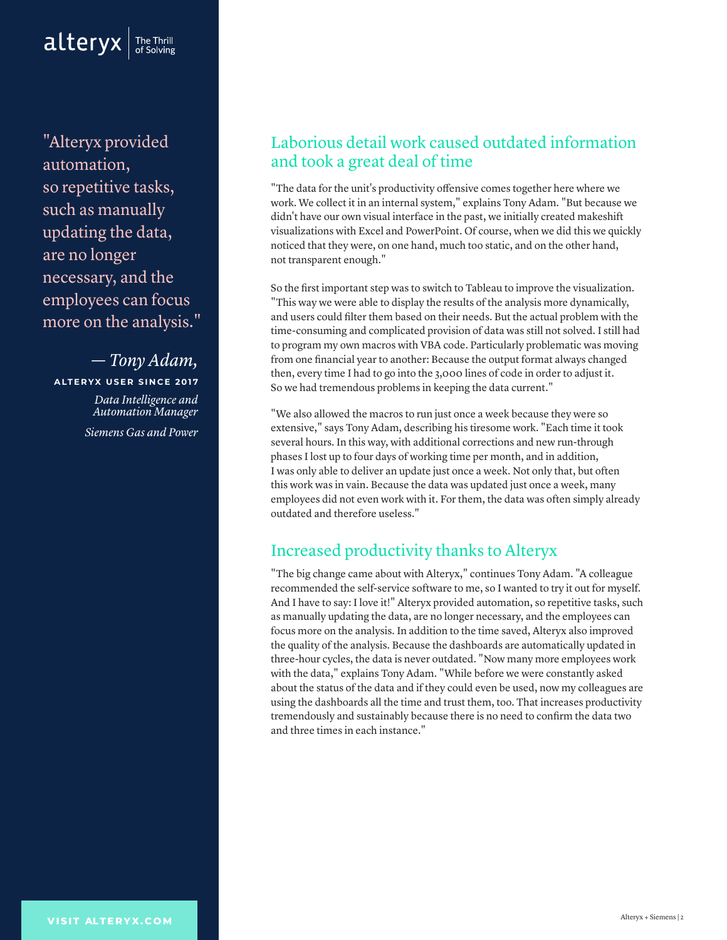

"Alteryx provided automation, so repetitive tasks, such as manually updating the data, are no longer necessary, and the employees can focus more on the analysis."

*— Tony Adam,* **ALTERYX USER SINCE 2017**

> *Data Intelligence and Automation Manager Siemens Gas and Power*

#### Laborious detail work caused outdated information and took a great deal of time

"The data for the unit's productivity offensive comes together here where we work. We collect it in an internal system," explains Tony Adam. "But because we didn't have our own visual interface in the past, we initially created makeshift visualizations with Excel and PowerPoint. Of course, when we did this we quickly noticed that they were, on one hand, much too static, and on the other hand, not transparent enough."

So the first important step was to switch to Tableau to improve the visualization. "This way we were able to display the results of the analysis more dynamically, and users could filter them based on their needs. But the actual problem with the time-consuming and complicated provision of data was still not solved. I still had to program my own macros with VBA code. Particularly problematic was moving from one financial year to another: Because the output format always changed then, every time I had to go into the 3,000 lines of code in order to adjust it. So we had tremendous problems in keeping the data current."

"We also allowed the macros to run just once a week because they were so extensive," says Tony Adam, describing his tiresome work. "Each time it took several hours. In this way, with additional corrections and new run-through phases I lost up to four days of working time per month, and in addition, I was only able to deliver an update just once a week. Not only that, but often this work was in vain. Because the data was updated just once a week, many employees did not even work with it. For them, the data was often simply already outdated and therefore useless."

#### Increased productivity thanks to Alteryx

"The big change came about with Alteryx," continues Tony Adam. "A colleague recommended the self-service software to me, so I wanted to try it out for myself. And I have to say: I love it!" Alteryx provided automation, so repetitive tasks, such as manually updating the data, are no longer necessary, and the employees can focus more on the analysis. In addition to the time saved, Alteryx also improved the quality of the analysis. Because the dashboards are automatically updated in three-hour cycles, the data is never outdated. "Now many more employees work with the data," explains Tony Adam. "While before we were constantly asked about the status of the data and if they could even be used, now my colleagues are using the dashboards all the time and trust them, too. That increases productivity tremendously and sustainably because there is no need to confirm the data two and three times in each instance."